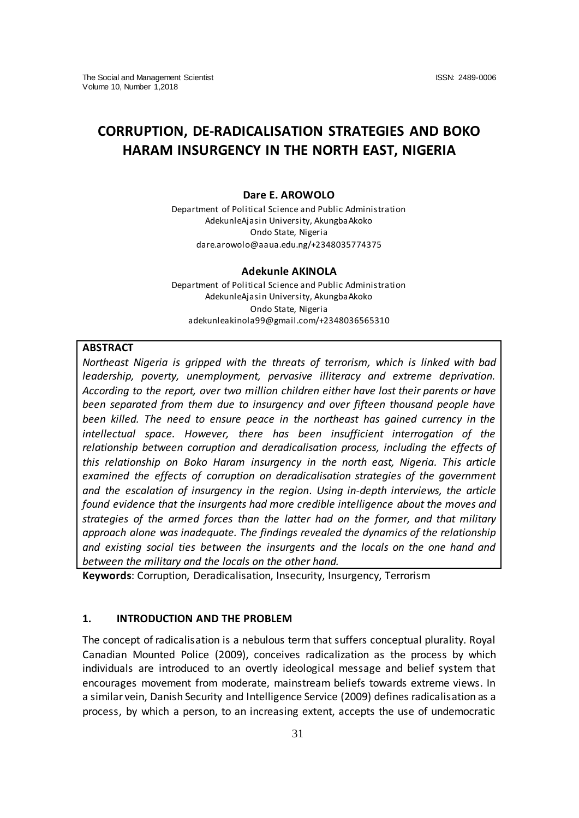# **CORRUPTION, DE-RADICALISATION STRATEGIES AND BOKO HARAM INSURGENCY IN THE NORTH EAST, NIGERIA**

# **Dare E. AROWOLO**

Department of Political Science and Public Administration AdekunleAjasin University, AkungbaAkoko Ondo State, Nigeria [dare.arowolo@aaua.edu.ng/+2348035774375](mailto:dare.arowolo@aaua.edu.ng/+2348035774375)

#### **Adekunle AKINOLA**

Department of Political Science and Public Administration AdekunleAjasin University, AkungbaAkoko Ondo State, Nigeria [adekunleakinola99@gmail.com/+2348036565310](mailto:adekunleakinola99@gmail.com/+2348036565310)

# **ABSTRACT**

*Northeast Nigeria is gripped with the threats of terrorism, which is linked with bad leadership, poverty, unemployment, pervasive illiteracy and extreme deprivation. According to the report, over two million children either have lost their parents or have been separated from them due to insurgency and over fifteen thousand people have been killed. The need to ensure peace in the northeast has gained currency in the intellectual space. However, there has been insufficient interrogation of the relationship between corruption and deradicalisation process, including the effects of this relationship on Boko Haram insurgency in the north east, Nigeria. This article examined the effects of corruption on deradicalisation strategies of the government and the escalation of insurgency in the region. Using in-depth interviews, the article found evidence that the insurgents had more credible intelligence about the moves and strategies of the armed forces than the latter had on the former, and that military approach alone was inadequate. The findings revealed the dynamics of the relationship and existing social ties between the insurgents and the locals on the one hand and between the military and the locals on the other hand.* 

**Keywords**: Corruption, Deradicalisation, Insecurity, Insurgency, Terrorism

# **1. INTRODUCTION AND THE PROBLEM**

The concept of radicalisation is a nebulous term that suffers conceptual plurality. Royal Canadian Mounted Police (2009), conceives radicalization as the process by which individuals are introduced to an overtly ideological message and belief system that encourages movement from moderate, mainstream beliefs towards extreme views. In a similar vein, Danish Security and Intelligence Service (2009) defines radicalisation as a process, by which a person, to an increasing extent, accepts the use of undemocratic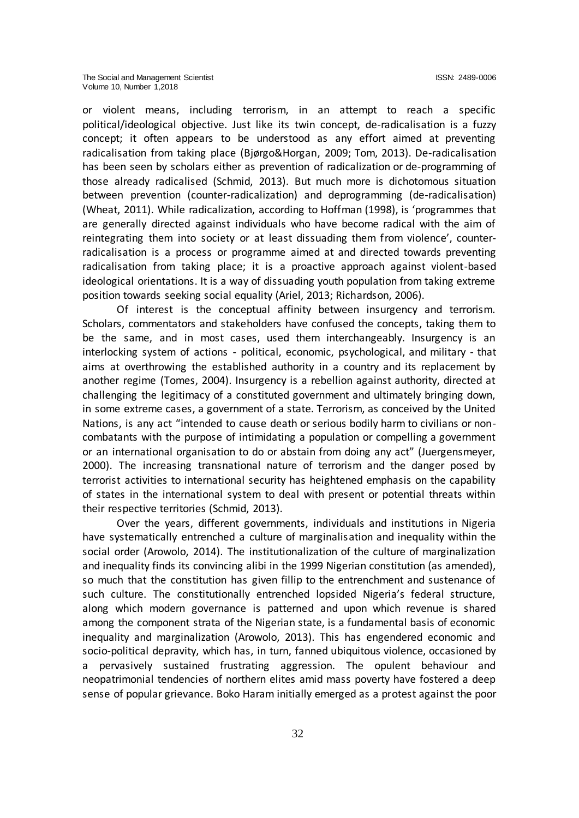or violent means, including terrorism, in an attempt to reach a specific political/ideological objective. Just like its twin concept, de-radicalisation is a fuzzy concept; it often appears to be understood as any effort aimed at preventing radicalisation from taking place (Bjørgo&Horgan, 2009; Tom, 2013). De-radicalisation has been seen by scholars either as prevention of radicalization or de-programming of those already radicalised (Schmid, 2013). But much more is dichotomous situation between prevention (counter-radicalization) and deprogramming (de-radicalisation) (Wheat, 2011). While radicalization, according to Hoffman (1998), is 'programmes that are generally directed against individuals who have become radical with the aim of reintegrating them into society or at least dissuading them from violence', counterradicalisation is a process or programme aimed at and directed towards preventing radicalisation from taking place; it is a proactive approach against violent-based ideological orientations. It is a way of dissuading youth population from taking extreme position towards seeking social equality (Ariel, 2013; Richardson, 2006).

Of interest is the conceptual affinity between insurgency and terrorism. Scholars, commentators and stakeholders have confused the concepts, taking them to be the same, and in most cases, used them interchangeably. Insurgency is an interlocking system of actions - political, economic, psychological, and military - that aims at overthrowing the established authority in a country and its replacement by another regime (Tomes, 2004). Insurgency is a rebellion against authority, directed at challenging the legitimacy of a constituted government and ultimately bringing down, in some extreme cases, a government of a state. Terrorism, as conceived by the United Nations, is any act "intended to cause death or serious bodily harm to civilians or noncombatants with the purpose of intimidating a population or compelling a government or an international organisation to do or abstain from doing any act" (Juergensmeyer, 2000). The increasing transnational nature of terrorism and the danger posed by terrorist activities to international security has heightened emphasis on the capability of states in the international system to deal with present or potential threats within their respective territories (Schmid, 2013).

Over the years, different governments, individuals and institutions in Nigeria have systematically entrenched a culture of marginalisation and inequality within the social order (Arowolo, 2014). The institutionalization of the culture of marginalization and inequality finds its convincing alibi in the 1999 Nigerian constitution (as amended), so much that the constitution has given fillip to the entrenchment and sustenance of such culture. The constitutionally entrenched lopsided Nigeria's federal structure, along which modern governance is patterned and upon which revenue is shared among the component strata of the Nigerian state, is a fundamental basis of economic inequality and marginalization (Arowolo, 2013). This has engendered economic and socio-political depravity, which has, in turn, fanned ubiquitous violence, occasioned by a pervasively sustained frustrating aggression. The opulent behaviour and neopatrimonial tendencies of northern elites amid mass poverty have fostered a deep sense of popular grievance. Boko Haram initially emerged as a protest against the poor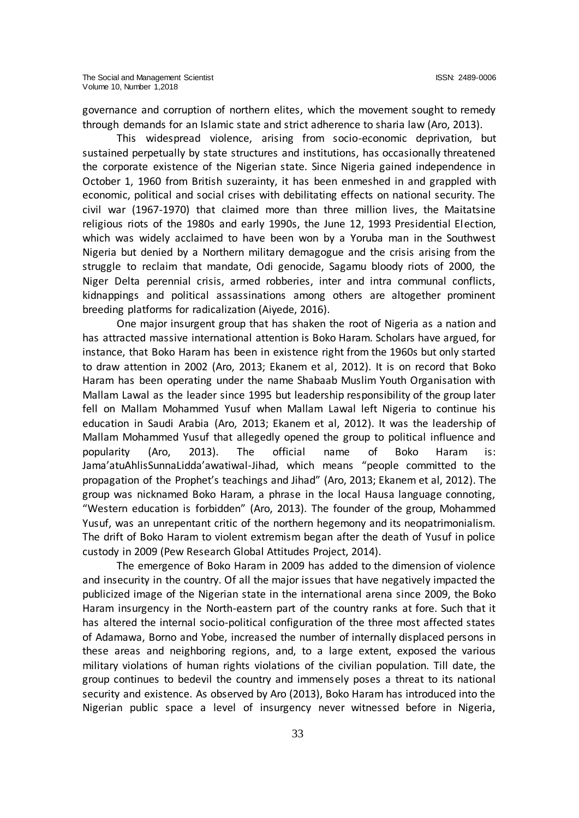governance and corruption of northern elites, which the movement sought to remedy through demands for an Islamic state and strict adherence to sharia law (Aro, 2013).

This widespread violence, arising from socio-economic deprivation, but sustained perpetually by state structures and institutions, has occasionally threatened the corporate existence of the Nigerian state. Since Nigeria gained independence in October 1, 1960 from British suzerainty, it has been enmeshed in and grappled with economic, political and social crises with debilitating effects on national security. The civil war (1967-1970) that claimed more than three million lives, the Maitatsine religious riots of the 1980s and early 1990s, the June 12, 1993 Presidential Election, which was widely acclaimed to have been won by a Yoruba man in the Southwest Nigeria but denied by a Northern military demagogue and the crisis arising from the struggle to reclaim that mandate, Odi genocide, Sagamu bloody riots of 2000, the Niger Delta perennial crisis, armed robberies, inter and intra communal conflicts, kidnappings and political assassinations among others are altogether prominent breeding platforms for radicalization (Aiyede, 2016).

One major insurgent group that has shaken the root of Nigeria as a nation and has attracted massive international attention is Boko Haram. Scholars have argued, for instance, that Boko Haram has been in existence right from the 1960s but only started to draw attention in 2002 (Aro, 2013; Ekanem et al, 2012). It is on record that Boko Haram has been operating under the name Shabaab Muslim Youth Organisation with Mallam Lawal as the leader since 1995 but leadership responsibility of the group later fell on Mallam Mohammed Yusuf when Mallam Lawal left Nigeria to continue his education in Saudi Arabia (Aro, 2013; Ekanem et al, 2012). It was the leadership of Mallam Mohammed Yusuf that allegedly opened the group to political influence and popularity (Aro, 2013). The official name of Boko Haram is: Jama'atuAhlisSunnaLidda'awatiwal-Jihad, which means "people committed to the propagation of the Prophet's teachings and Jihad" (Aro, 2013; Ekanem et al, 2012). The group was nicknamed Boko Haram, a phrase in the local Hausa language connoting, "Western education is forbidden" (Aro, 2013). The founder of the group, Mohammed Yusuf, was an unrepentant critic of the northern hegemony and its neopatrimonialism. The drift of Boko Haram to violent extremism began after the death of Yusuf in police custody in 2009 (Pew Research Global Attitudes Project, 2014).

The emergence of Boko Haram in 2009 has added to the dimension of violence and insecurity in the country. Of all the major issues that have negatively impacted the publicized image of the Nigerian state in the international arena since 2009, the Boko Haram insurgency in the North-eastern part of the country ranks at fore. Such that it has altered the internal socio-political configuration of the three most affected states of Adamawa, Borno and Yobe, increased the number of internally displaced persons in these areas and neighboring regions, and, to a large extent, exposed the various military violations of human rights violations of the civilian population. Till date, the group continues to bedevil the country and immensely poses a threat to its national security and existence. As observed by Aro (2013), Boko Haram has introduced into the Nigerian public space a level of insurgency never witnessed before in Nigeria,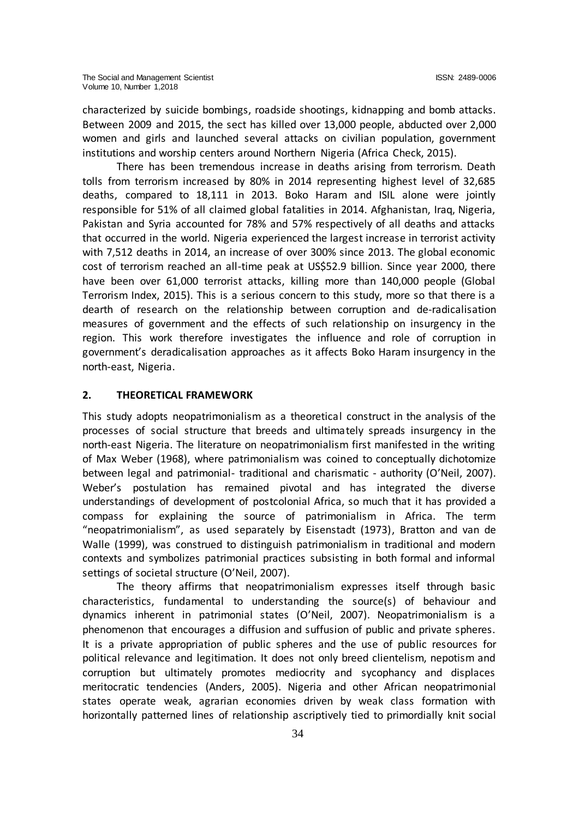characterized by suicide bombings, roadside shootings, kidnapping and bomb attacks. Between 2009 and 2015, the sect has killed over 13,000 people, abducted over 2,000 women and girls and launched several attacks on civilian population, government institutions and worship centers around Northern Nigeria (Africa Check, 2015).

There has been tremendous increase in deaths arising from terrorism. Death tolls from terrorism increased by 80% in 2014 representing highest level of 32,685 deaths, compared to 18,111 in 2013. Boko Haram and ISIL alone were jointly responsible for 51% of all claimed global fatalities in 2014. Afghanistan, Iraq, Nigeria, Pakistan and Syria accounted for 78% and 57% respectively of all deaths and attacks that occurred in the world. Nigeria experienced the largest increase in terrorist activity with 7,512 deaths in 2014, an increase of over 300% since 2013. The global economic cost of terrorism reached an all-time peak at US\$52.9 billion. Since year 2000, there have been over 61,000 terrorist attacks, killing more than 140,000 people (Global Terrorism Index, 2015). This is a serious concern to this study, more so that there is a dearth of research on the relationship between corruption and de-radicalisation measures of government and the effects of such relationship on insurgency in the region. This work therefore investigates the influence and role of corruption in government's deradicalisation approaches as it affects Boko Haram insurgency in the north-east, Nigeria.

# **2. THEORETICAL FRAMEWORK**

This study adopts neopatrimonialism as a theoretical construct in the analysis of the processes of social structure that breeds and ultimately spreads insurgency in the north-east Nigeria. The literature on neopatrimonialism first manifested in the writing of Max Weber (1968), where patrimonialism was coined to conceptually dichotomize between legal and patrimonial- traditional and charismatic - authority (O'Neil, 2007). Weber's postulation has remained pivotal and has integrated the diverse understandings of development of postcolonial Africa, so much that it has provided a compass for explaining the source of patrimonialism in Africa. The term "neopatrimonialism", as used separately by Eisenstadt (1973), Bratton and van de Walle (1999), was construed to distinguish patrimonialism in traditional and modern contexts and symbolizes patrimonial practices subsisting in both formal and informal settings of societal structure (O'Neil, 2007).

The theory affirms that neopatrimonialism expresses itself through basic characteristics, fundamental to understanding the source(s) of behaviour and dynamics inherent in patrimonial states (O'Neil, 2007). Neopatrimonialism is a phenomenon that encourages a diffusion and suffusion of public and private spheres. It is a private appropriation of public spheres and the use of public resources for political relevance and legitimation. It does not only breed clientelism, nepotism and corruption but ultimately promotes mediocrity and sycophancy and displaces meritocratic tendencies (Anders, 2005). Nigeria and other African neopatrimonial states operate weak, agrarian economies driven by weak class formation with horizontally patterned lines of relationship ascriptively tied to primordially knit social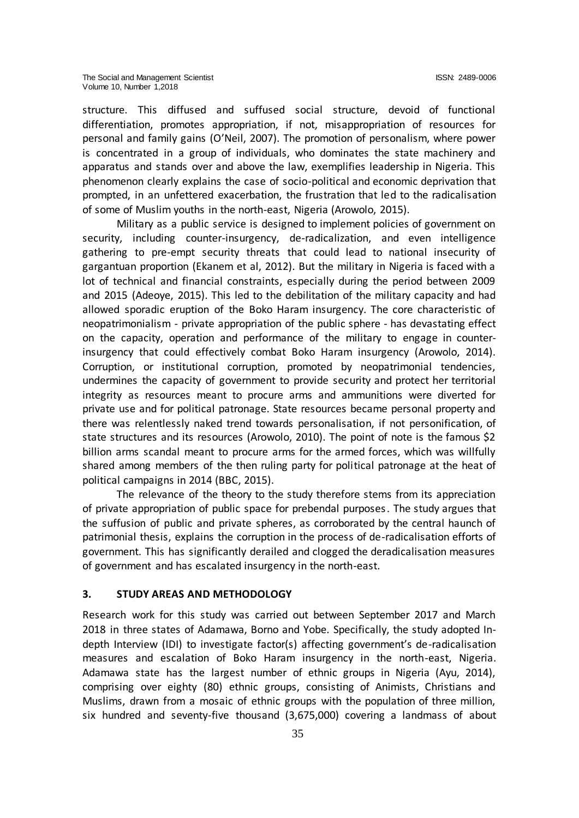structure. This diffused and suffused social structure, devoid of functional differentiation, promotes appropriation, if not, misappropriation of resources for personal and family gains (O'Neil, 2007). The promotion of personalism, where power is concentrated in a group of individuals, who dominates the state machinery and apparatus and stands over and above the law, exemplifies leadership in Nigeria. This phenomenon clearly explains the case of socio-political and economic deprivation that prompted, in an unfettered exacerbation, the frustration that led to the radicalisation of some of Muslim youths in the north-east, Nigeria (Arowolo, 2015).

Military as a public service is designed to implement policies of government on security, including counter-insurgency, de-radicalization, and even intelligence gathering to pre-empt security threats that could lead to national insecurity of gargantuan proportion (Ekanem et al, 2012). But the military in Nigeria is faced with a lot of technical and financial constraints, especially during the period between 2009 and 2015 (Adeoye, 2015). This led to the debilitation of the military capacity and had allowed sporadic eruption of the Boko Haram insurgency. The core characteristic of neopatrimonialism - private appropriation of the public sphere - has devastating effect on the capacity, operation and performance of the military to engage in counterinsurgency that could effectively combat Boko Haram insurgency (Arowolo, 2014). Corruption, or institutional corruption, promoted by neopatrimonial tendencies, undermines the capacity of government to provide security and protect her territorial integrity as resources meant to procure arms and ammunitions were diverted for private use and for political patronage. State resources became personal property and there was relentlessly naked trend towards personalisation, if not personification, of state structures and its resources (Arowolo, 2010). The point of note is the famous \$2 billion arms scandal meant to procure arms for the armed forces, which was willfully shared among members of the then ruling party for political patronage at the heat of political campaigns in 2014 (BBC, 2015).

The relevance of the theory to the study therefore stems from its appreciation of private appropriation of public space for prebendal purposes. The study argues that the suffusion of public and private spheres, as corroborated by the central haunch of patrimonial thesis, explains the corruption in the process of de-radicalisation efforts of government. This has significantly derailed and clogged the deradicalisation measures of government and has escalated insurgency in the north-east.

# **3. STUDY AREAS AND METHODOLOGY**

Research work for this study was carried out between September 2017 and March 2018 in three states of Adamawa, Borno and Yobe. Specifically, the study adopted Indepth Interview (IDI) to investigate factor(s) affecting government's de-radicalisation measures and escalation of Boko Haram insurgency in the north-east, Nigeria. Adamawa state has the largest number of ethnic groups in Nigeria (Ayu, 2014), comprising over eighty (80) ethnic groups, consisting of Animists, Christians and Muslims, drawn from a mosaic of ethnic groups with the population of three million, six hundred and seventy-five thousand (3,675,000) covering a landmass of about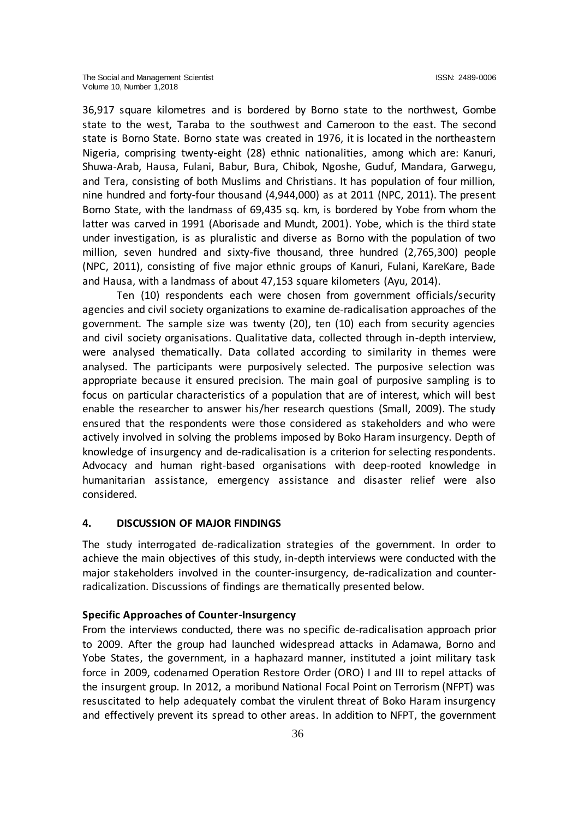36,917 square kilometres and is bordered by Borno state to the northwest, [Gombe](https://en.wikipedia.org/wiki/Gombe_State) state to the west, [Taraba](https://en.wikipedia.org/wiki/Taraba_State) to the southwest and Cameroon to the east. The second state is Borno State. Borno state was created in 1976, it is located in the northeastern Nigeria, comprising twenty-eight (28) ethnic nationalities, among which are: Kanuri, Shuwa-Arab, Hausa, Fulani, Babur, Bura, Chibok, Ngoshe, Guduf, Mandara, Garwegu, and Tera, consisting of both Muslims and Christians. It has population of four million, nine hundred and forty-four thousand (4,944,000) as at 2011 (NPC, 2011). The present Borno State, with the landmass of 69,435 sq. km, is bordered by Yobe from whom the latter was carved in 1991 (Aborisade and Mundt, 2001). Yobe, which is the third state under investigation, is as pluralistic and diverse as Borno with the population of two million, seven hundred and sixty-five thousand, three hundred (2,765,300) people (NPC, 2011), consisting of five major ethnic groups of Kanuri, Fulani, KareKare, Bade and Hausa, with a landmass of about 47,153 square kilometers (Ayu, 2014).

Ten (10) respondents each were chosen from government officials/security agencies and civil society organizations to examine de-radicalisation approaches of the government. The sample size was twenty (20), ten (10) each from security agencies and civil society organisations. Qualitative data, collected through in-depth interview, were analysed thematically. Data collated according to similarity in themes were analysed. The participants were purposively selected. The purposive selection was appropriate because it ensured precision. The main goal of purposive sampling is to focus on particular characteristics of a population that are of interest, which will best enable the researcher to answer his/her research questions (Small, 2009). The study ensured that the respondents were those considered as stakeholders and who were actively involved in solving the problems imposed by Boko Haram insurgency. Depth of knowledge of insurgency and de-radicalisation is a criterion for selecting respondents. Advocacy and human right-based organisations with deep-rooted knowledge in humanitarian assistance, emergency assistance and disaster relief were also considered.

#### **4. DISCUSSION OF MAJOR FINDINGS**

The study interrogated de-radicalization strategies of the government. In order to achieve the main objectives of this study, in-depth interviews were conducted with the major stakeholders involved in the counter-insurgency, de-radicalization and counterradicalization. Discussions of findings are thematically presented below.

## **Specific Approaches of Counter-Insurgency**

From the interviews conducted, there was no specific de-radicalisation approach prior to 2009. After the group had launched widespread attacks in Adamawa, Borno and Yobe States, the government, in a haphazard manner, instituted a joint military task force in 2009, codenamed Operation Restore Order (ORO) I and III to repel attacks of the insurgent group. In 2012, a moribund National Focal Point on Terrorism (NFPT) was resuscitated to help adequately combat the virulent threat of Boko Haram insurgency and effectively prevent its spread to other areas. In addition to NFPT, the government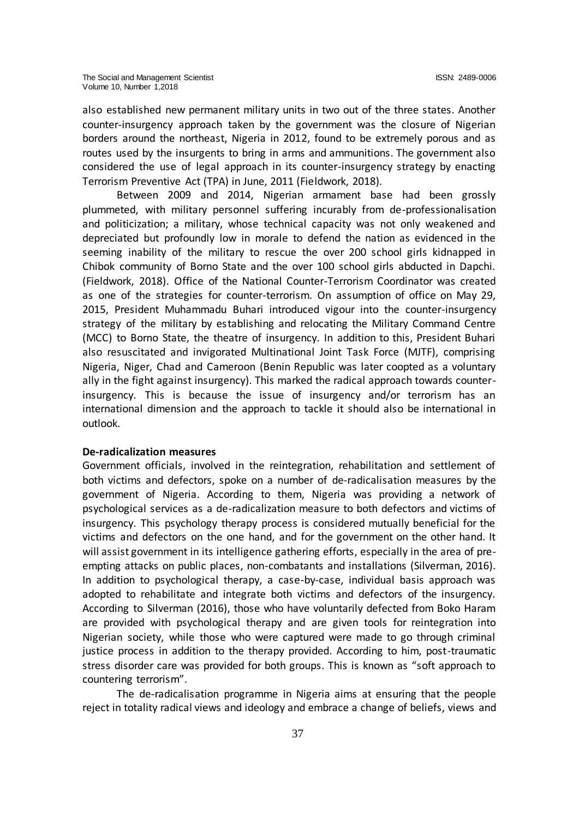also established new permanent military units in two out of the three states. Another counter-insurgency approach taken by the government was the closure of Nigerian borders around the northeast, Nigeria in 2012, found to be extremely porous and as routes used by the insurgents to bring in arms and ammunitions. The government also considered the use of legal approach in its counter-insurgency strategy by enacting Terrorism Preventive Act (TPA) in June, 2011 (Fieldwork, 2018).

Between 2009 and 2014, Nigerian armament base had been grossly plummeted, with military personnel suffering incurably from de-professionalisation and politicization; a military, whose technical capacity was not only weakened and depreciated but profoundly low in morale to defend the nation as evidenced in the seeming inability of the military to rescue the over 200 school girls kidnapped in Chibok community of Borno State and the over 100 school girls abducted in Dapchi. (Fieldwork, 2018). Office of the National Counter-Terrorism Coordinator was created as one of the strategies for counter-terrorism. On assumption of office on May 29, 2015, President Muhammadu Buhari introduced vigour into the counter-insurgency strategy of the military by establishing and relocating the Military Command Centre (MCC) to Borno State, the theatre of insurgency. In addition to this, President Buhari also resuscitated and invigorated Multinational Joint Task Force (MJTF), comprising Nigeria, Niger, Chad and Cameroon (Benin Republic was later coopted as a voluntary ally in the fight against insurgency). This marked the radical approach towards counterinsurgency. This is because the issue of insurgency and/or terrorism has an international dimension and the approach to tackle it should also be international in outlook.

## **De-radicalization measures**

Government officials, involved in the reintegration, rehabilitation and settlement of both victims and defectors, spoke on a number of de-radicalisation measures by the government of Nigeria. According to them, Nigeria was providing a network of psychological services as a de-radicalization measure to both defectors and victims of insurgency. This psychology therapy process is considered mutually beneficial for the victims and defectors on the one hand, and for the government on the other hand. It will assist government in its intelligence gathering efforts, especially in the area of preempting attacks on public places, non-combatants and installations (Silverman, 2016). In addition to psychological therapy, a case-by-case, individual basis approach was adopted to rehabilitate and integrate both victims and defectors of the insurgency. According to Silverman (2016), those who have voluntarily defected from Boko Haram are provided with psychological therapy and are given tools for reintegration into Nigerian society, while those who were captured were made to go through criminal justice process in addition to the therapy provided. According to him, post-traumatic stress disorder care was provided for both groups. This is known as "soft approach to countering terrorism".

The de-radicalisation programme in Nigeria aims at ensuring that the people reject in totality radical views and ideology and embrace a change of beliefs, views and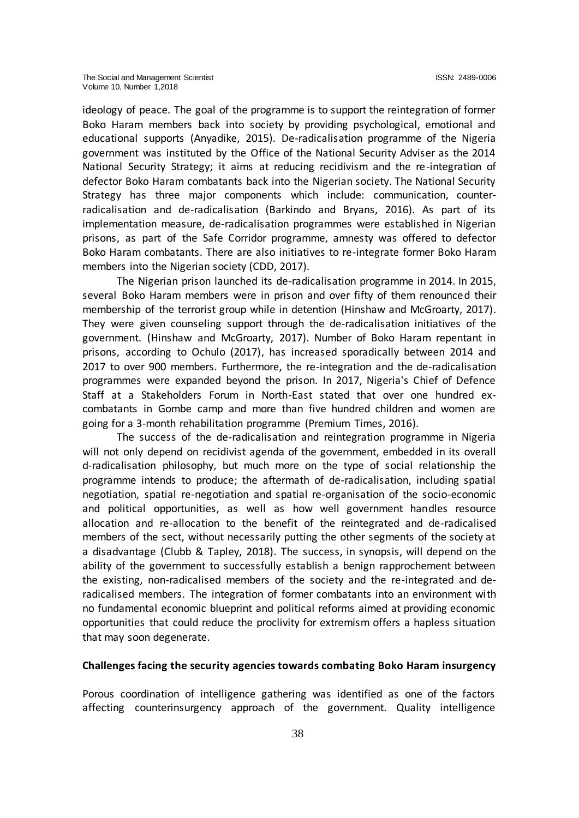ideology of peace. The goal of the programme is to support the reintegration of former Boko Haram members back into society by providing psychological, emotional and educational supports (Anyadike, 2015). De-radicalisation programme of the Nigeria government was instituted by the Office of the National Security Adviser as the 2014 National Security Strategy; it aims at reducing recidivism and the re-integration of defector Boko Haram combatants back into the Nigerian society. The National Security Strategy has three major components which include: communication, counterradicalisation and de-radicalisation (Barkindo and Bryans, 2016). As part of its implementation measure, de-radicalisation programmes were established in Nigerian prisons, as part of the Safe Corridor programme, amnesty was offered to defector Boko Haram combatants. There are also initiatives to re-integrate former Boko Haram members into the Nigerian society (CDD, 2017).

The Nigerian prison launched its de-radicalisation programme in 2014. In 2015, several Boko Haram members were in prison and over fifty of them renounced their membership of the terrorist group while in detention (Hinshaw and McGroarty, 2017). They were given counseling support through the de-radicalisation initiatives of the government. (Hinshaw and McGroarty, 2017). Number of Boko Haram repentant in prisons, according to Ochulo (2017), has increased sporadically between 2014 and 2017 to over 900 members. Furthermore, the re-integration and the de-radicalisation programmes were expanded beyond the prison. In 2017, Nigeria's Chief of Defence Staff at a Stakeholders Forum in North-East stated that over one hundred excombatants in Gombe camp and more than five hundred children and women are going for a 3-month rehabilitation programme (Premium Times, 2016).

The success of the de-radicalisation and reintegration programme in Nigeria will not only depend on recidivist agenda of the government, embedded in its overall d-radicalisation philosophy, but much more on the type of social relationship the programme intends to produce; the aftermath of de-radicalisation, including spatial negotiation, spatial re-negotiation and spatial re-organisation of the socio-economic and political opportunities, as well as how well government handles resource allocation and re-allocation to the benefit of the reintegrated and de-radicalised members of the sect, without necessarily putting the other segments of the society at a disadvantage (Clubb & Tapley, 2018). The success, in synopsis, will depend on the ability of the government to successfully establish a benign rapprochement between the existing, non-radicalised members of the society and the re-integrated and deradicalised members. The integration of former combatants into an environment with no fundamental economic blueprint and political reforms aimed at providing economic opportunities that could reduce the proclivity for extremism offers a hapless situation that may soon degenerate.

## **Challenges facing the security agencies towards combating Boko Haram insurgency**

Porous coordination of intelligence gathering was identified as one of the factors affecting counterinsurgency approach of the government. Quality intelligence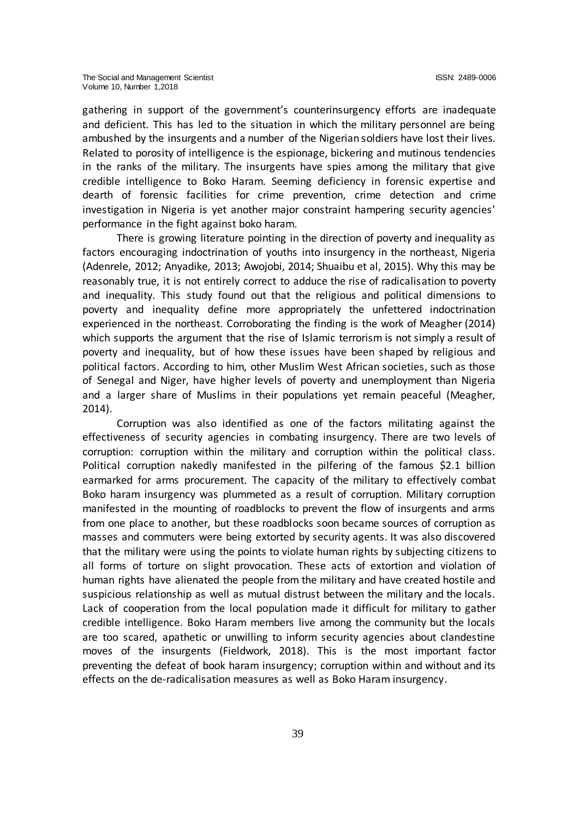gathering in support of the government's counterinsurgency efforts are inadequate and deficient. This has led to the situation in which the military personnel are being ambushed by the insurgents and a number of the Nigerian soldiers have lost their lives. Related to porosity of intelligence is the espionage, bickering and mutinous tendencies in the ranks of the military. The insurgents have spies among the military that give credible intelligence to Boko Haram. Seeming deficiency in forensic expertise and dearth of forensic facilities for crime prevention, crime detection and crime investigation in Nigeria is yet another major constraint hampering security agencies' performance in the fight against boko haram.

There is growing literature pointing in the direction of poverty and inequality as factors encouraging indoctrination of youths into insurgency in the northeast, Nigeria (Adenrele, 2012; Anyadike, 2013; Awojobi, 2014; Shuaibu et al, 2015). Why this may be reasonably true, it is not entirely correct to adduce the rise of radicalisation to poverty and inequality. This study found out that the religious and political dimensions to poverty and inequality define more appropriately the unfettered indoctrination experienced in the northeast. Corroborating the finding is the work of Meagher (2014) which supports the argument that the rise of Islamic terrorism is not simply a result of poverty and inequality, but of how these issues have been shaped by religious and political factors. According to him, other Muslim West African societies, such as those of Senegal and Niger, have higher levels of poverty and unemployment than Nigeria and a larger share of Muslims in their populations yet remain peaceful (Meagher, 2014).

Corruption was also identified as one of the factors militating against the effectiveness of security agencies in combating insurgency. There are two levels of corruption: corruption within the military and corruption within the political class. Political corruption nakedly manifested in the pilfering of the famous \$2.1 billion earmarked for arms procurement. The capacity of the military to effectively combat Boko haram insurgency was plummeted as a result of corruption. Military corruption manifested in the mounting of roadblocks to prevent the flow of insurgents and arms from one place to another, but these roadblocks soon became sources of corruption as masses and commuters were being extorted by security agents. It was also discovered that the military were using the points to violate human rights by subjecting citizens to all forms of torture on slight provocation. These acts of extortion and violation of human rights have alienated the people from the military and have created hostile and suspicious relationship as well as mutual distrust between the military and the locals. Lack of cooperation from the local population made it difficult for military to gather credible intelligence. Boko Haram members live among the community but the locals are too scared, apathetic or unwilling to inform security agencies about clandestine moves of the insurgents (Fieldwork, 2018). This is the most important factor preventing the defeat of book haram insurgency; corruption within and without and its effects on the de-radicalisation measures as well as Boko Haram insurgency.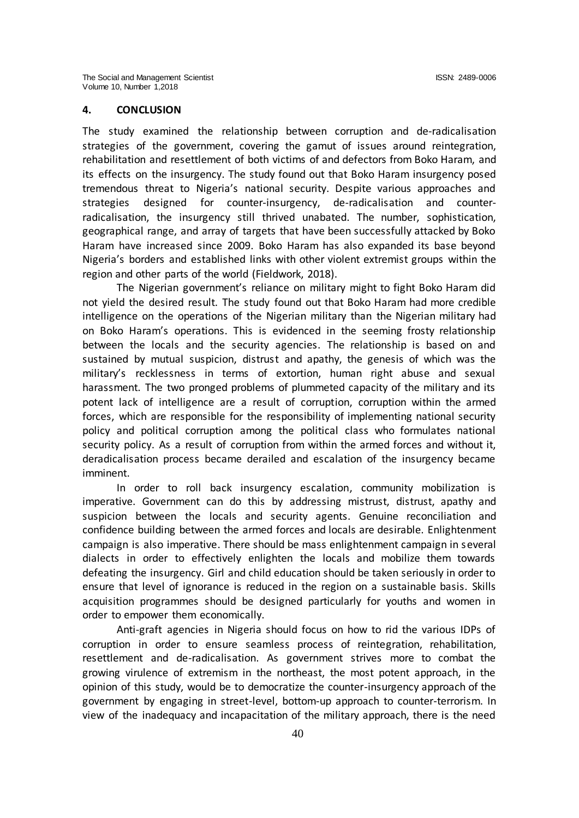#### **4. CONCLUSION**

The study examined the relationship between corruption and de-radicalisation strategies of the government, covering the gamut of issues around reintegration, rehabilitation and resettlement of both victims of and defectors from Boko Haram, and its effects on the insurgency. The study found out that Boko Haram insurgency posed tremendous threat to Nigeria's national security. Despite various approaches and strategies designed for counter-insurgency, de-radicalisation and counterradicalisation, the insurgency still thrived unabated. The number, sophistication, geographical range, and array of targets that have been successfully attacked by Boko Haram have increased since 2009. Boko Haram has also expanded its base beyond Nigeria's borders and established links with other violent extremist groups within the region and other parts of the world (Fieldwork, 2018).

The Nigerian government's reliance on military might to fight Boko Haram did not yield the desired result. The study found out that Boko Haram had more credible intelligence on the operations of the Nigerian military than the Nigerian military had on Boko Haram's operations. This is evidenced in the seeming frosty relationship between the locals and the security agencies. The relationship is based on and sustained by mutual suspicion, distrust and apathy, the genesis of which was the military's recklessness in terms of extortion, human right abuse and sexual harassment. The two pronged problems of plummeted capacity of the military and its potent lack of intelligence are a result of corruption, corruption within the armed forces, which are responsible for the responsibility of implementing national security policy and political corruption among the political class who formulates national security policy. As a result of corruption from within the armed forces and without it, deradicalisation process became derailed and escalation of the insurgency became imminent.

In order to roll back insurgency escalation, community mobilization is imperative. Government can do this by addressing mistrust, distrust, apathy and suspicion between the locals and security agents. Genuine reconciliation and confidence building between the armed forces and locals are desirable. Enlightenment campaign is also imperative. There should be mass enlightenment campaign in several dialects in order to effectively enlighten the locals and mobilize them towards defeating the insurgency. Girl and child education should be taken seriously in order to ensure that level of ignorance is reduced in the region on a sustainable basis. Skills acquisition programmes should be designed particularly for youths and women in order to empower them economically.

Anti-graft agencies in Nigeria should focus on how to rid the various IDPs of corruption in order to ensure seamless process of reintegration, rehabilitation, resettlement and de-radicalisation. As government strives more to combat the growing virulence of extremism in the northeast, the most potent approach, in the opinion of this study, would be to democratize the counter-insurgency approach of the government by engaging in street-level, bottom-up approach to counter-terrorism. In view of the inadequacy and incapacitation of the military approach, there is the need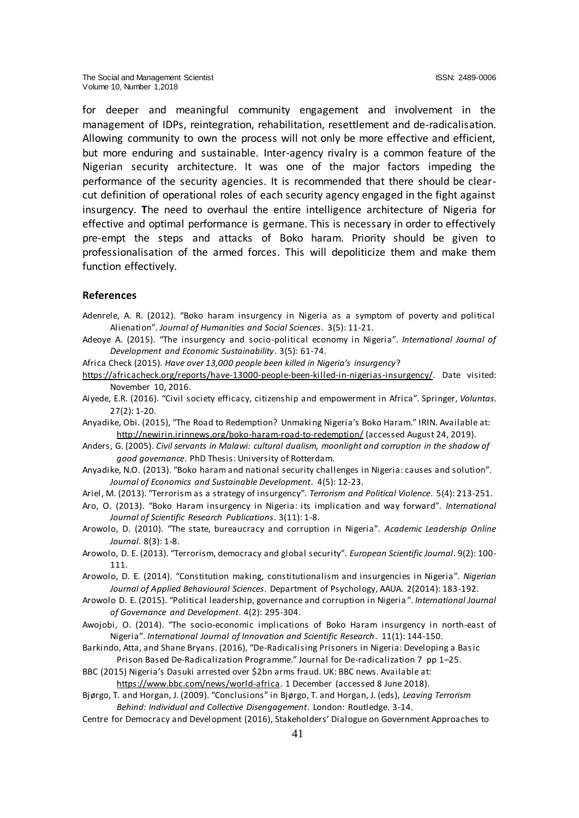for deeper and meaningful community engagement and involvement in the management of IDPs, reintegration, rehabilitation, resettlement and de-radicalisation. Allowing community to own the process will not only be more effective and efficient, but more enduring and sustainable. Inter-agency rivalry is a common feature of the Nigerian security architecture. It was one of the major factors impeding the performance of the security agencies. It is recommended that there should be clearcut definition of operational roles of each security agency engaged in the fight against insurgency. **T**he need to overhaul the entire intelligence architecture of Nigeria for effective and optimal performance is germane. This is necessary in order to effectively pre-empt the steps and attacks of Boko haram. Priority should be given to professionalisation of the armed forces. This will depoliticize them and make them function effectively.

## **References**

- Adenrele, A. R. (2012). "Boko haram insurgency in Nigeria as a symptom of poverty and political Alienation". *Journal of Humanities and Social Sciences*. 3(5): 11-21.
- Adeoye A. (2015). "The insurgency and socio-political economy in Nigeria". *International Journal of Development and Economic Sustainability*. 3(5): 61-74.
- Africa Check (2015). *Have over 13,000 people been killed in Nigeria's insurgency*?
- <https://africacheck.org/reports/have-13000-people-been-killed-in-nigerias-insurgency/>. Date visited: November 10, 2016.
- Aiyede, E.R. (2016). "Civil society efficacy, citizenship and empowerment in Africa". Springer, *Voluntas*. 27(2): 1-20.
- Anyadike, Obi. (2015), "The Road to Redemption? Unmaki ng Nigeria's Boko Haram." IRIN. Available at: <http://newirin.irinnews.org/boko-haram-road-to-redemption/> (accessed August 24, 2019).
- Anders, G. (2005). *Civil servants in Malawi: cultural dualism, moonlight and corruption in the shadow of good governance*. PhD Thesis: University of Rotterdam.
- Anyadike, N.O. (2013). "Boko haram and national security challenges in Nigeria: causes and solution". *Journal of Economics and Sustainable Development*. 4(5): 12-23.
- Ariel, M. (2013). "Terrorism as a strategy of insurgency". *Terrorism and Political Violence*. 5(4): 213-251.
- Aro, O. (2013). "Boko Haram insurgency in Nigeria: its implication and way forward". *International Journal of Scientific Research Publications*. 3(11): 1-8.
- Arowolo, D. (2010). "The state, bureaucracy and corruption in Nigeria". *Academic Leadership Online Journal*. 8(3): 1-8.
- Arowolo, D. E. (2013). "Terrorism, democracy and global security". *European Scientific Journal*. 9(2): 100- 111.
- Arowolo, D. E. (2014). "Constitution making, constitutionalism and insurgencies in Nigeria". *Nigerian Journal of Applied Behavioural Sciences*. Department of Psychology, AAUA. 2(2014): 183-192.
- Arowolo D. E. (2015). "Political leadership, governance and corruption in Nigeria ". *International Journal of Governance and Development*. 4(2): 295-304.
- Awojobi, O. (2014). "The socio-economic implications of Boko Haram insurgency in north-east of Nigeria". *International Journal of Innovation and Scientific Research*. 11(1): 144-150.
- Barkindo, Atta, and Shane Bryans. (2016), "De-Radicalising Prisoners in Nigeria: Developing a Basic Prison Based De-Radicalization Programme." Journal for De-radicalization 7 pp 1–25.
- BBC (2015) Nigeria's Dasuki arrested over \$2bn arms fraud. UK: BBC news. Available at: [https://www.bbc.com/news/world-africa.](https://www.bbc.com/news/world-africa) 1 December (accessed 8 June 2018).
- Bjørgo, T. and Horgan, J. (2009). "Conclusions" in Bjørgo, T. and Horgan, J. (eds), *Leaving Terrorism Behind: Individual and Collective Disengagement*. London: Routledge. 3-14.
- Centre for Democracy and Development (2016), Stakeholders' Dialogue on Government Approaches to